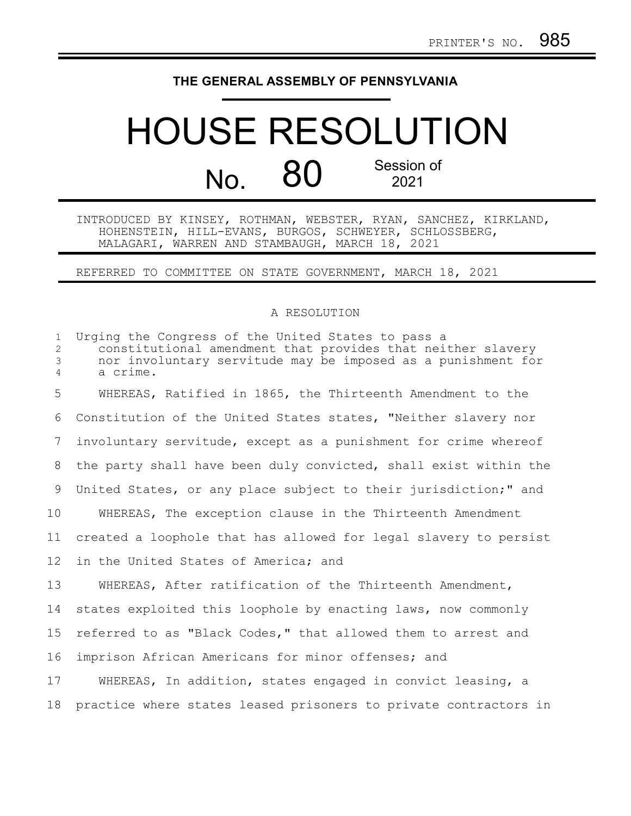## **THE GENERAL ASSEMBLY OF PENNSYLVANIA**

## HOUSE RESOLUTION No. 80 Session of 2021

INTRODUCED BY KINSEY, ROTHMAN, WEBSTER, RYAN, SANCHEZ, KIRKLAND, HOHENSTEIN, HILL-EVANS, BURGOS, SCHWEYER, SCHLOSSBERG, MALAGARI, WARREN AND STAMBAUGH, MARCH 18, 2021

REFERRED TO COMMITTEE ON STATE GOVERNMENT, MARCH 18, 2021

## A RESOLUTION

| $\mathbf{1}$<br>$\overline{2}$<br>$\mathfrak{Z}$<br>$\overline{4}$ | Urging the Congress of the United States to pass a<br>constitutional amendment that provides that neither slavery<br>nor involuntary servitude may be imposed as a punishment for<br>a crime. |
|--------------------------------------------------------------------|-----------------------------------------------------------------------------------------------------------------------------------------------------------------------------------------------|
| 5                                                                  | WHEREAS, Ratified in 1865, the Thirteenth Amendment to the                                                                                                                                    |
| 6                                                                  | Constitution of the United States states, "Neither slavery nor                                                                                                                                |
| 7                                                                  | involuntary servitude, except as a punishment for crime whereof                                                                                                                               |
| 8                                                                  | the party shall have been duly convicted, shall exist within the                                                                                                                              |
| 9                                                                  | United States, or any place subject to their jurisdiction;" and                                                                                                                               |
| 10                                                                 | WHEREAS, The exception clause in the Thirteenth Amendment                                                                                                                                     |
| 11                                                                 | created a loophole that has allowed for legal slavery to persist                                                                                                                              |
| 12 <sup>°</sup>                                                    | in the United States of America; and                                                                                                                                                          |
| 13                                                                 | WHEREAS, After ratification of the Thirteenth Amendment,                                                                                                                                      |
| 14                                                                 | states exploited this loophole by enacting laws, now commonly                                                                                                                                 |
| 15                                                                 | referred to as "Black Codes," that allowed them to arrest and                                                                                                                                 |
| 16                                                                 | imprison African Americans for minor offenses; and                                                                                                                                            |
| 17                                                                 | WHEREAS, In addition, states engaged in convict leasing, a                                                                                                                                    |
| 18                                                                 | practice where states leased prisoners to private contractors in                                                                                                                              |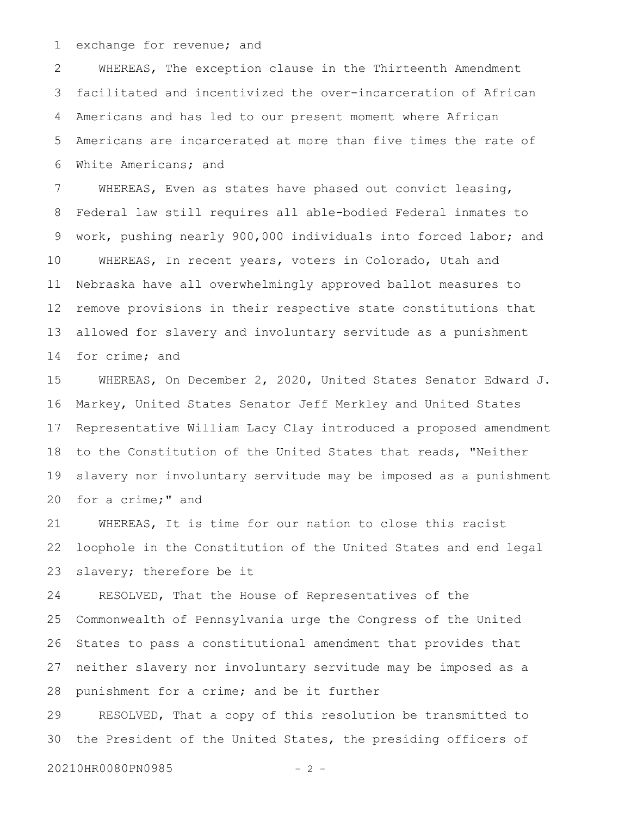exchange for revenue; and 1

WHEREAS, The exception clause in the Thirteenth Amendment facilitated and incentivized the over-incarceration of African Americans and has led to our present moment where African Americans are incarcerated at more than five times the rate of White Americans; and 2 3 4 5 6

WHEREAS, Even as states have phased out convict leasing, Federal law still requires all able-bodied Federal inmates to work, pushing nearly 900,000 individuals into forced labor; and WHEREAS, In recent years, voters in Colorado, Utah and Nebraska have all overwhelmingly approved ballot measures to remove provisions in their respective state constitutions that allowed for slavery and involuntary servitude as a punishment for crime; and 7 8 9 10 11 12 13 14

WHEREAS, On December 2, 2020, United States Senator Edward J. Markey, United States Senator Jeff Merkley and United States Representative William Lacy Clay introduced a proposed amendment to the Constitution of the United States that reads, "Neither slavery nor involuntary servitude may be imposed as a punishment for a crime;" and 15 16 17 18 19 20

WHEREAS, It is time for our nation to close this racist loophole in the Constitution of the United States and end legal slavery; therefore be it 21 22 23

RESOLVED, That the House of Representatives of the Commonwealth of Pennsylvania urge the Congress of the United States to pass a constitutional amendment that provides that neither slavery nor involuntary servitude may be imposed as a punishment for a crime; and be it further 24 25 26 27 28

RESOLVED, That a copy of this resolution be transmitted to the President of the United States, the presiding officers of 29 30

20210HR0080PN0985 - 2 -